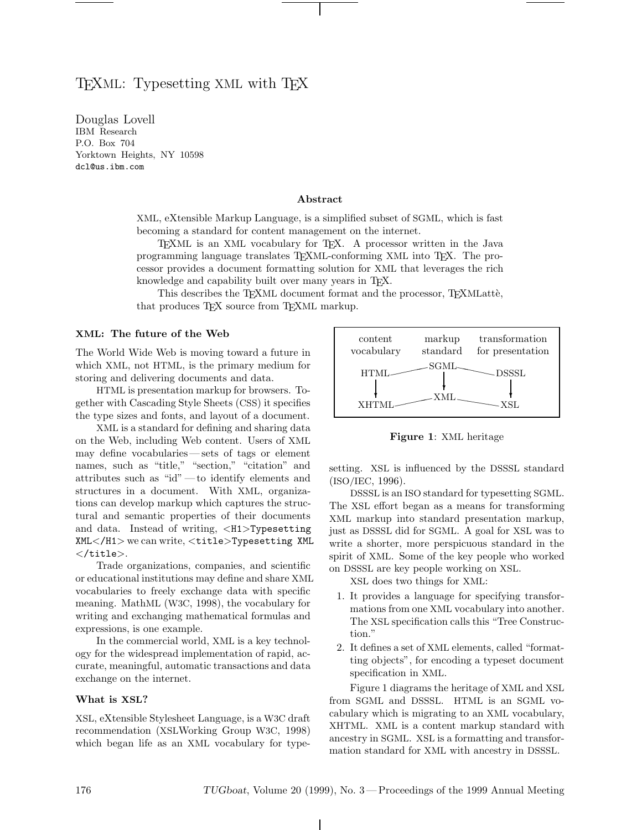# $\mathbf{L}$   $\mathbf{v}_1$  with  $\mathbf{v}_2$

Douglas Lovell P.O. Box 704 Yorktown Heights, NY 10598 dcl@us.ibm.com

#### **Abstract**

XML, eXtensible Markup Language, is a simplified subset of SGML, which is fast becoming a standard for content management on the internet.

TEXML is an XML vocabulary for TEX. A processor written in the Java programming language translates TEXML-conforming XML into TEX. The processor provides a document formatting solution for XML that leverages the rich knowledge and capability built over many years in TEX.

This describes the TEXML document format and the processor, TEXMLatte, that produces TEX source from TEXML markup.

#### **XML: The future of the Web**

The World Wide Web is moving toward a future in which XML, not HTML, is the primary medium for storing and delivering documents and data.

HTML is presentation markup for browsers. Together with Cascading Style Sheets (CSS) it specifies the type sizes and fonts, and layout of a document.

XML is a standard for defining and sharing data on the Web, including Web content. Users of XML may define vocabularies— sets of tags or element names, such as "title," "section," "citation" and attributes such as "id" — to identify elements and structures in a document. With XML, organizations can develop markup which captures the structural and semantic properties of their documents and data. Instead of writing, <H1>Typesetting XML</H1> we can write, <title>Typesetting XML  $\langle$ title $\rangle$ .

Trade organizations, companies, and scientific or educational institutions may define and share XML vocabularies to freely exchange data with specific meaning. MathML (W3C, 1998), the vocabulary for writing and exchanging mathematical formulas and expressions, is one example.

In the commercial world, XML is a key technology for the widespread implementation of rapid, accurate, meaningful, automatic transactions and data exchange on the internet.

### **What is XSL?**

XSL, eXtensible Stylesheet Language, is a W3C draft recommendation (XSLWorking Group W3C, 1998) which began life as an XML vocabulary for type-



**Figure 1**: XML heritage

setting. XSL is influenced by the DSSSL standard (ISO/IEC, 1996).

DSSSL is an ISO standard for typesetting SGML. The XSL effort began as a means for transforming XML markup into standard presentation markup, just as DSSSL did for SGML. A goal for XSL was to write a shorter, more perspicuous standard in the spirit of XML. Some of the key people who worked on DSSSL are key people working on XSL.

XSL does two things for XML:

- 1. It provides a language for specifying transformations from one XML vocabulary into another. The XSL specification calls this "Tree Construction."
- 2. It defines a set of XML elements, called "formatting objects", for encoding a typeset document specification in XML.

Figure 1 diagrams the heritage of XML and XSL from SGML and DSSSL. HTML is an SGML vocabulary which is migrating to an XML vocabulary, XHTML. XML is a content markup standard with ancestry in SGML. XSL is a formatting and transformation standard for XML with ancestry in DSSSL.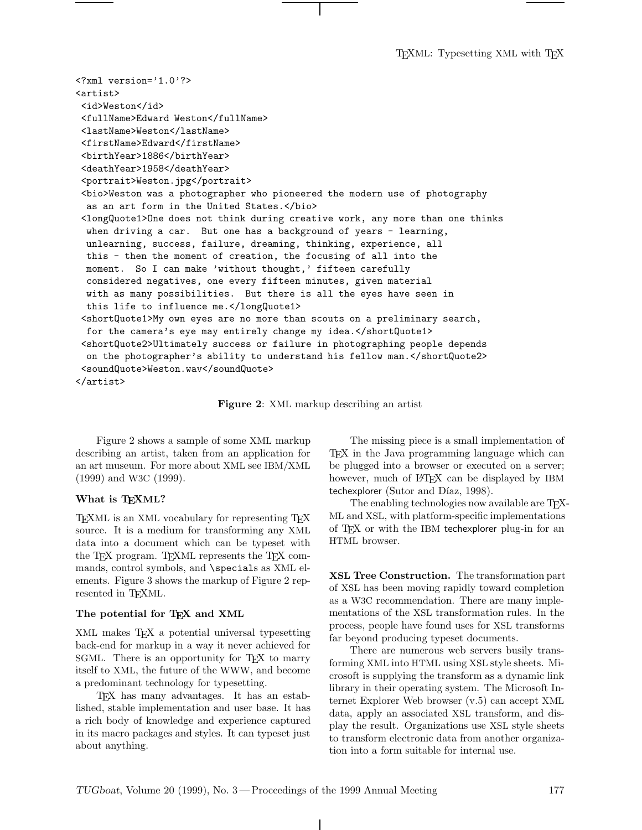T<sub>E</sub>XML: Typesetting XML with T<sub>E</sub>X

```
<?xml version='1.0'?>
<artist>
 <id>Weston</id>
 <fullName>Edward Weston</fullName>
 <lastName>Weston</lastName>
 <firstName>Edward</firstName>
 <birthYear>1886</birthYear>
 <deathYear>1958</deathYear>
 <portrait>Weston.jpg</portrait>
 <bio>Weston was a photographer who pioneered the modern use of photography
  as an art form in the United States.</bio>
 <longQuote1>One does not think during creative work, any more than one thinks
  when driving a car. But one has a background of years - learning,
  unlearning, success, failure, dreaming, thinking, experience, all
  this - then the moment of creation, the focusing of all into the
  moment. So I can make 'without thought,' fifteen carefully
  considered negatives, one every fifteen minutes, given material
  with as many possibilities. But there is all the eyes have seen in
  this life to influence me.</longQuote1>
 <shortQuote1>My own eyes are no more than scouts on a preliminary search,
  for the camera's eye may entirely change my idea.</shortQuote1>
 <shortQuote2>Ultimately success or failure in photographing people depends
  on the photographer's ability to understand his fellow man.</shortQuote2>
 <soundQuote>Weston.wav</soundQuote>
</artist>
```
**Figure 2**: XML markup describing an artist

Figure 2 shows a sample of some XML markup describing an artist, taken from an application for an art museum. For more about XML see IBM/XML (1999) and W3C (1999).

# **What is TEXML?**

TEXML is an XML vocabulary for representing TEX source. It is a medium for transforming any XML data into a document which can be typeset with the T<sub>E</sub>X program. T<sub>E</sub>XML represents the T<sub>E</sub>X commands, control symbols, and \specials as XML elements. Figure 3 shows the markup of Figure 2 represented in T<sub>E</sub>XML.

#### **The potential for TEX and XML**

XML makes T<sub>F</sub>X a potential universal typesetting back-end for markup in a way it never achieved for SGML. There is an opportunity for T<sub>F</sub>X to marry itself to XML, the future of the WWW, and become a predominant technology for typesetting.

TEX has many advantages. It has an established, stable implementation and user base. It has a rich body of knowledge and experience captured in its macro packages and styles. It can typeset just about anything.

The missing piece is a small implementation of TEX in the Java programming language which can be plugged into a browser or executed on a server; however, much of L<sup>AT</sup>EX can be displayed by IBM techexplorer (Sutor and Díaz, 1998).

The enabling technologies now available are T<sub>E</sub>X-ML and XSL, with platform-specific implementations of TEX or with the IBM techexplorer plug-in for an HTML browser.

**XSL Tree Construction.** The transformation part of XSL has been moving rapidly toward completion as a W3C recommendation. There are many implementations of the XSL transformation rules. In the process, people have found uses for XSL transforms far beyond producing typeset documents.

There are numerous web servers busily transforming XML into HTML using XSL style sheets. Microsoft is supplying the transform as a dynamic link library in their operating system. The Microsoft Internet Explorer Web browser (v.5) can accept XML data, apply an associated XSL transform, and display the result. Organizations use XSL style sheets to transform electronic data from another organization into a form suitable for internal use.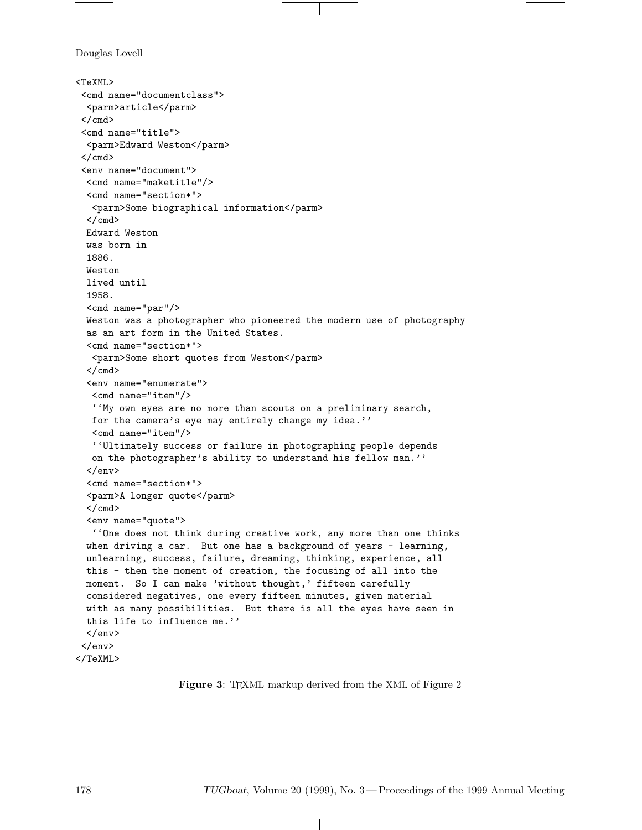Douglas Lovell

```
<TeXML>
 <cmd name="documentclass">
 <parm>article</parm>
 </cmd>
 <cmd name="title">
  <parm>Edward Weston</parm>
 \langle / cmd\rangle<env name="document">
  <cmd name="maketitle"/>
  <cmd name="section*">
  <parm>Some biographical information</parm>
  \langle / cmd\rangleEdward Weston
 was born in
  1886.
  Weston
 lived until
  1958.
  <cmd name="par"/>
  Weston was a photographer who pioneered the modern use of photography
  as an art form in the United States.
  <cmd name="section*">
   <parm>Some short quotes from Weston</parm>
  \langle / cmd\rangle<env name="enumerate">
   <cmd name="item"/>
   ''My own eyes are no more than scouts on a preliminary search,
  for the camera's eye may entirely change my idea.''
   <cmd name="item"/>
   ''Ultimately success or failure in photographing people depends
   on the photographer's ability to understand his fellow man.''
  \langle/env\rangle<cmd name="section*">
  <parm>A longer quote</parm>
  \langle / cmd\rangle<env name="quote">
   ''One does not think during creative work, any more than one thinks
  when driving a car. But one has a background of years - learning,
  unlearning, success, failure, dreaming, thinking, experience, all
  this - then the moment of creation, the focusing of all into the
 moment. So I can make 'without thought,' fifteen carefully
  considered negatives, one every fifteen minutes, given material
  with as many possibilities. But there is all the eyes have seen in
  this life to influence me.''
  </env>
 </env>
</TeXML>
```
**Figure 3**: TEXML markup derived from the XML of Figure 2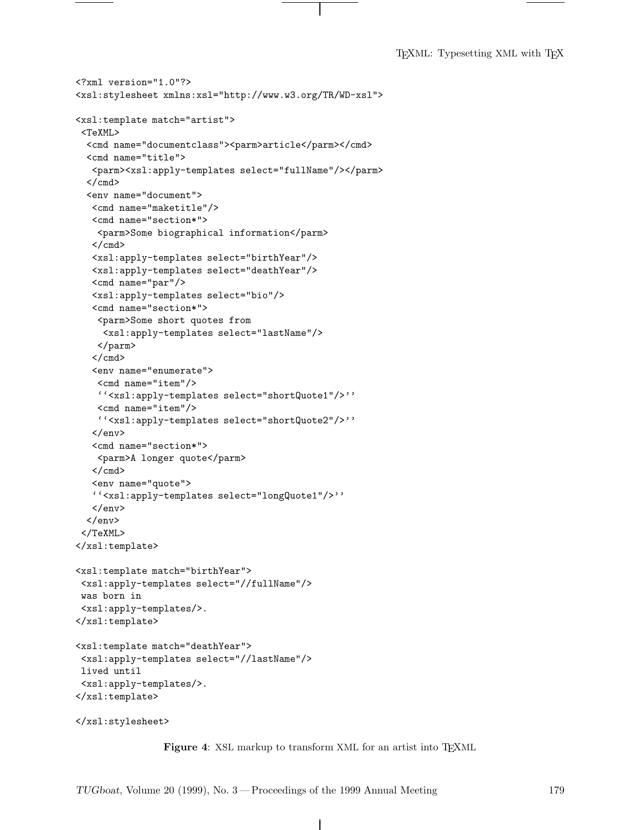T<sub>E</sub>XML: Typesetting XML with T<sub>E</sub>X

```
<?xml version="1.0"?>
<xsl:stylesheet xmlns:xsl="http://www.w3.org/TR/WD-xsl">
<xsl:template match="artist">
 <TeXML>
  <cmd name="documentclass"><parm>article</parm></cmd>
  <cmd name="title">
   <parm><xsl:apply-templates select="fullName"/></parm>
  \langle/cmd\rangle<env name="document">
   <cmd name="maketitle"/>
   <cmd name="section*">
   <parm>Some biographical information</parm>
   \langle / cmd\rangle<xsl:apply-templates select="birthYear"/>
   <xsl:apply-templates select="deathYear"/>
   <cmd name="par"/>
   <xsl:apply-templates select="bio"/>
   <cmd name="section*">
    <parm>Some short quotes from
     <xsl:apply-templates select="lastName"/>
    </parm>
   </cmd>
   <env name="enumerate">
    <cmd name="item"/>
    ''<xsl:apply-templates select="shortQuote1"/>''
    <cmd name="item"/>
    ''<xsl:apply-templates select="shortQuote2"/>''
   </env>
   <cmd name="section*">
    <parm>A longer quote</parm>
   \langle / cmd\rangle<env name="quote">
   ''<xsl:apply-templates select="longQuote1"/>''
   \langle/env\rangle</env>
 </TeXML>
</xsl:template>
<xsl:template match="birthYear">
 <xsl:apply-templates select="//fullName"/>
was born in
 <xsl:apply-templates/>.
</xsl:template>
<xsl:template match="deathYear">
 <xsl:apply-templates select="//lastName"/>
lived until
 <xsl:apply-templates/>.
</xsl:template>
</xsl:stylesheet>
```
Figure 4: XSL markup to transform XML for an artist into T<sub>E</sub>XML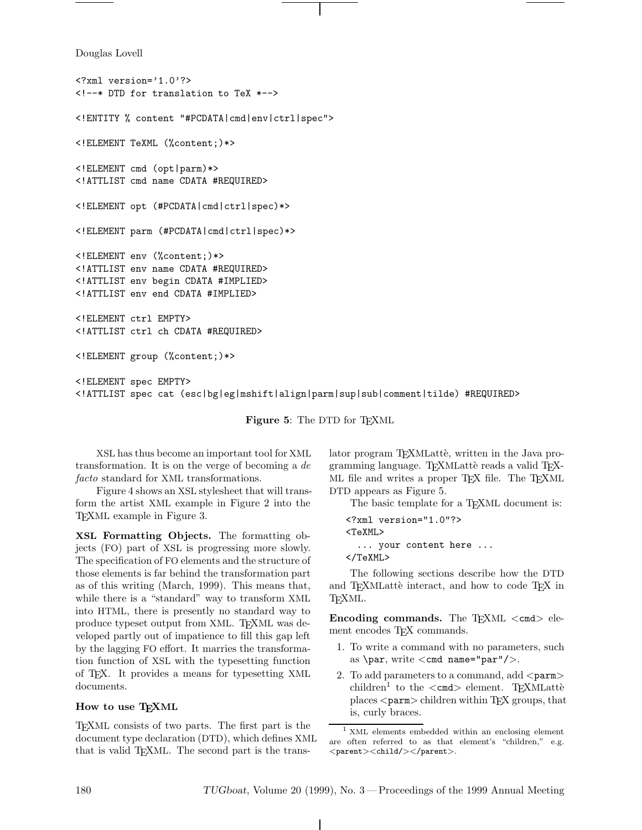Douglas Lovell

```
<?xml version='1.0'?>
<!--* DTD for translation to TeX *-->
<!ENTITY % content "#PCDATA|cmd|env|ctrl|spec">
<!ELEMENT TeXML (%content;)*>
<!ELEMENT cmd (opt|parm)*>
<!ATTLIST cmd name CDATA #REQUIRED>
<!ELEMENT opt (#PCDATA|cmd|ctrl|spec)*>
<!ELEMENT parm (#PCDATA|cmd|ctrl|spec)*>
<!ELEMENT env (%content;)*>
<!ATTLIST env name CDATA #REQUIRED>
<!ATTLIST env begin CDATA #IMPLIED>
<!ATTLIST env end CDATA #IMPLIED>
<!ELEMENT ctrl EMPTY>
<!ATTLIST ctrl ch CDATA #REQUIRED>
<!ELEMENT group (%content;)*>
<!ELEMENT spec EMPTY>
<!ATTLIST spec cat (esc|bg|eg|mshift|align|parm|sup|sub|comment|tilde) #REQUIRED>
```
**Figure 5**: The DTD for TEXML

XSL has thus become an important tool for XML transformation. It is on the verge of becoming a *de facto* standard for XML transformations.

Figure 4 shows an XSL stylesheet that will transform the artist XML example in Figure 2 into the TEXML example in Figure 3.

**XSL Formatting Objects.** The formatting objects (FO) part of XSL is progressing more slowly. The specification of FO elements and the structure of those elements is far behind the transformation part as of this writing (March, 1999). This means that, while there is a "standard" way to transform XML into HTML, there is presently no standard way to produce typeset output from XML. TFXML was developed partly out of impatience to fill this gap left by the lagging FO effort. It marries the transformation function of XSL with the typesetting function of TEX. It provides a means for typesetting XML documents.

# **How to use TEXML**

TEXML consists of two parts. The first part is the document type declaration (DTD), which defines XML that is valid T<sub>E</sub>XML. The second part is the translator program TEXMLattè, written in the Java programming language. TEXMLattè reads a valid TEX-ML file and writes a proper T<sub>E</sub>X file. The T<sub>E</sub>XML DTD appears as Figure 5.

The basic template for a T<sub>E</sub>XML document is:

```
<?xml version="1.0"?>
<TeXML>
  ... your content here ...
</TeXML>
```
The following sections describe how the DTD and TEXMLattè interact, and how to code TEX in TEXML.

**Encoding commands.** The TEXML <cmd> element encodes T<sub>EX</sub> commands.

- 1. To write a command with no parameters, such as \par, write  $\langle$  cmd name="par"/ $\rangle$ .
- 2. To add parameters to a command, add  $\langle$  parm $\rangle$ children<sup>1</sup> to the  $\langle \text{cmd}\rangle$  element. T<sub>EX</sub>MLattè places <parm> children within TEX groups, that is, curly braces.

<sup>1</sup> XML elements embedded within an enclosing element are often referred to as that element's "children," e.g.  $<$ parent $>$  $<$ child $/$  $>$  $<$ /parent $>$ .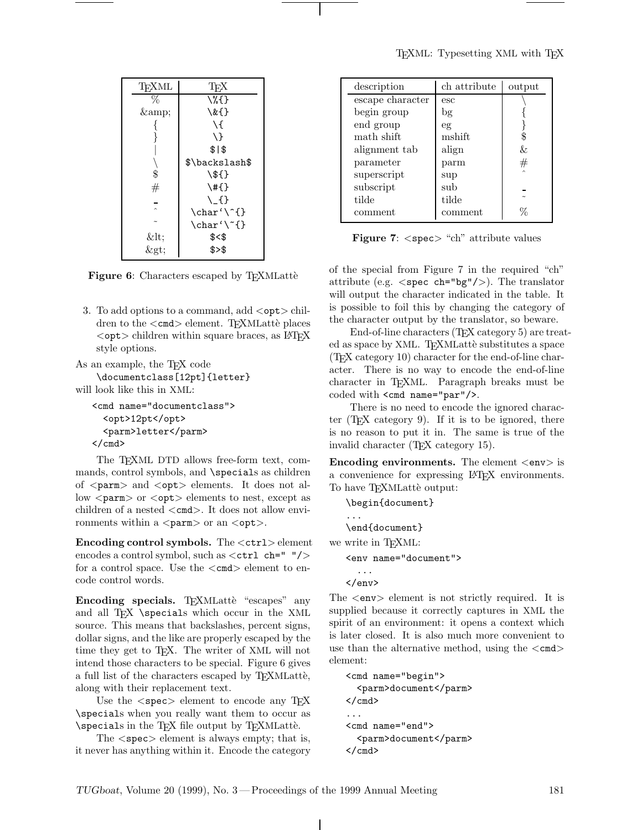| TFXML     | TFX                                  |
|-----------|--------------------------------------|
| $\%$      | \%{}                                 |
| &         | $\setminus \& \setminus$             |
|           | ١ſ                                   |
| }         | \ }                                  |
|           | \$1\$                                |
|           | \$\backslash\$                       |
| \$        | $\S$ {}                              |
| #         | $\{ \}$                              |
|           | $\setminus$ _{}                      |
| $\lambda$ | $\char' \char' \char' \char' \char'$ |
|           | $\char' \checkmark$ {}               |
| <         | $$<$ \$                              |
| $\&$ gt;  | \$> \$                               |
|           |                                      |

**Figure 6:** Characters escaped by T<sub>E</sub>XMLattè

3. To add options to a command, add  $\langle \text{opt}\rangle$  children to the  $\langle \text{cmd}\rangle$  element. T<sub>F</sub>XMLattè places  $\langle$ opt $>$  children within square braces, as  $\angle$ FFX style options.

As an example, the T<sub>F</sub>X code

\documentclass[12pt]{letter} will look like this in XML:

```
<cmd name="documentclass">
 <opt>12pt</opt>
 <parm>letter</parm>
</cmd>
```
The T<sub>E</sub>XML DTD allows free-form text, commands, control symbols, and **\specials** as children of <parm> and <opt> elements. It does not allow  $\langle$  parm $\rangle$  or  $\langle$  opt $\rangle$  elements to nest, except as children of a nested  $\langle \text{cmd}\rangle$ . It does not allow environments within a  $\langle$  parm $\rangle$  or an  $\langle$  opt $\rangle$ .

**Encoding control symbols.** The  $\lt$ ctrl> element encodes a control symbol, such as  $\lt$ ctrl ch=" "/> for a control space. Use the  $\langle \text{cmd}\rangle$  element to encode control words.

**Encoding specials.** T<sub>E</sub>XMLattè "escapes" any and all T<sub>EX</sub> \specials which occur in the XML source. This means that backslashes, percent signs, dollar signs, and the like are properly escaped by the time they get to TEX. The writer of XML will not intend those characters to be special. Figure 6 gives a full list of the characters escaped by TEXMLattè, along with their replacement text.

Use the  $\langle$  spec $\rangle$  element to encode any TEX \specials when you really want them to occur as \specials in the TEX file output by TEXMLatt`e.

The <spec> element is always empty; that is, it never has anything within it. Encode the category

| description      | ch attribute | output |
|------------------|--------------|--------|
| escape character | esc          |        |
| begin group      | bg           |        |
| end group        | eg           |        |
| math shift       | mshift       | \$     |
| alignment tab    | align        | &.     |
| parameter        | parm         | #      |
| superscript      | sup          | $\sim$ |
| subscript        | sub          |        |
| tilde            | tilde        |        |
| comment          | comment      | L      |

**Figure 7:** <spec> "ch" attribute values

of the special from Figure 7 in the required "ch" attribute (e.g.  $\langle$ spec ch="bg"/>). The translator will output the character indicated in the table. It is possible to foil this by changing the category of the character output by the translator, so beware.

End-of-line characters (T<sub>E</sub>X category 5) are treated as space by XML. TEXMLattè substitutes a space (TEX category 10) character for the end-of-line character. There is no way to encode the end-of-line character in TEXML. Paragraph breaks must be coded with <cmd name="par"/>.

There is no need to encode the ignored character (T<sub>EX</sub> category 9). If it is to be ignored, there is no reason to put it in. The same is true of the invalid character (TEX category 15).

**Encoding environments.** The element  $\langle env \rangle$  is a convenience for expressing LATEX environments. To have TEXMLatte output:

```
\begin{document}
   ...
   \end{document}
we write in TFXML:
   <env name="document">
     ...
   </env>
```
The <env> element is not strictly required. It is supplied because it correctly captures in XML the spirit of an environment: it opens a context which is later closed. It is also much more convenient to use than the alternative method, using the  $\langle \text{cmd}\rangle$ element:

```
<cmd name="begin">
 <parm>document</parm>
</cmd>
...
<cmd name="end">
 <parm>document</parm>
</cmd>
```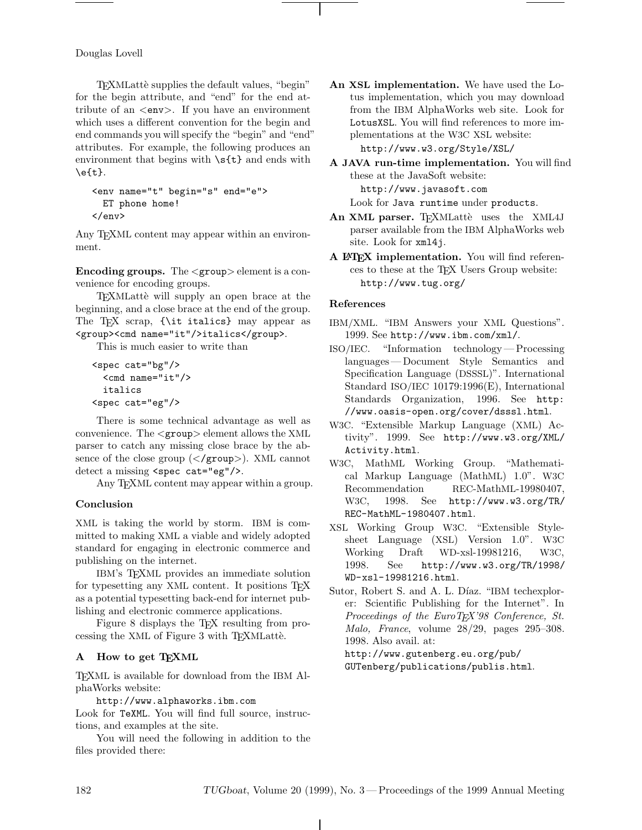Douglas Lovell

TEXMLattè supplies the default values, "begin" for the begin attribute, and "end" for the end attribute of an <env>. If you have an environment which uses a different convention for the begin and end commands you will specify the "begin" and "end" attributes. For example, the following produces an environment that begins with  $\s(t)$  and ends with  $\left\{ t\right\}$ .

```
<env name="t" begin="s" end="e">
 ET phone home!
</env>
```
Any T<sub>F</sub>XML content may appear within an environment.

**Encoding groups.** The  $\langle$  group $\rangle$  element is a convenience for encoding groups.

TEXMLattè will supply an open brace at the beginning, and a close brace at the end of the group. The TEX scrap, {\it italics} may appear as <group><cmd name="it"/>italics</group>.

This is much easier to write than

```
<spec cat="bg"/>
 <cmd name="it"/>
 italics
<spec cat="eg"/>
```
There is some technical advantage as well as convenience. The <sup>&</sup>lt;group<sup>&</sup>gt; element allows the XML parser to catch any missing close brace by the absence of the close group  $\langle \langle \text{group} \rangle \rangle$ . XML cannot detect a missing <spec cat="eg"/>.

Any T<sub>F</sub>XML content may appear within a group.

# **Conclusion**

XML is taking the world by storm. IBM is committed to making XML a viable and widely adopted standard for engaging in electronic commerce and publishing on the internet.

IBM's TEXML provides an immediate solution for typesetting any XML content. It positions T<sub>E</sub>X as a potential typesetting back-end for internet publishing and electronic commerce applications.

Figure 8 displays the T<sub>EX</sub> resulting from processing the XML of Figure 3 with T<sub>E</sub>XMLatte.

# **A How to get TEXML**

TEXML is available for download from the IBM AlphaWorks website:

http://www.alphaworks.ibm.com

Look for TeXML. You will find full source, instructions, and examples at the site.

You will need the following in addition to the files provided there:

- **An XSL implementation.** We have used the Lotus implementation, which you may download from the IBM AlphaWorks web site. Look for LotusXSL. You will find references to more implementations at the W3C XSL website: http://www.w3.org/Style/XSL/
- **A JAVA run-time implementation.** You will find these at the JavaSoft website: http://www.javasoft.com

Look for Java runtime under products.

- An XML parser. TEXMLattè uses the XML4J parser available from the IBM AlphaWorks web site. Look for xml4j.
- **A LATEX implementation.** You will find references to these at the TEX Users Group website: http://www.tug.org/

# **References**

- IBM/XML. "IBM Answers your XML Questions". 1999. See http://www.ibm.com/xml/.
- ISO/IEC. "Information technology— Processing languages— Document Style Semantics and Specification Language (DSSSL)". International Standard ISO/IEC 10179:1996(E), International Standards Organization, 1996. See http: //www.oasis-open.org/cover/dsssl.html.
- W3C. "Extensible Markup Language (XML) Activity". 1999. See http://www.w3.org/XML/ Activity.html.
- W3C, MathML Working Group. "Mathematical Markup Language (MathML) 1.0". W3C<br>Recommendation REC-MathML-19980407, Recommendation REC-MathML-19980407,<br>W<sub>2</sub>C 1008 Soo http://www.y2.org/TB/ W3C, 1998. See http://www.w3.org/TR/<br>REC MothWL-1090407 html REC-MathML-1980407.html.
- XSL Working Group W3C. "Extensible Stylesheet Language (XSL) Version 1.0". W3C<br>Working Draft WD-xsl-19981216, W3C, Working Draft WD-xsl-19981216,<br>1998. See http://www.w3.org/1 http://www.w3.org/TR/1998/ WD-xsl-19981216.html.
- Sutor, Robert S. and A. L. Díaz. "IBM techexplorer: Scientific Publishing for the Internet". In *Proceedings of the EuroTEX'98 Conference, St. Malo, France*, volume 28/29, pages 295–308. 1998. Also avail. at:

http://www.gutenberg.eu.org/pub/ GUTenberg/publications/publis.html.